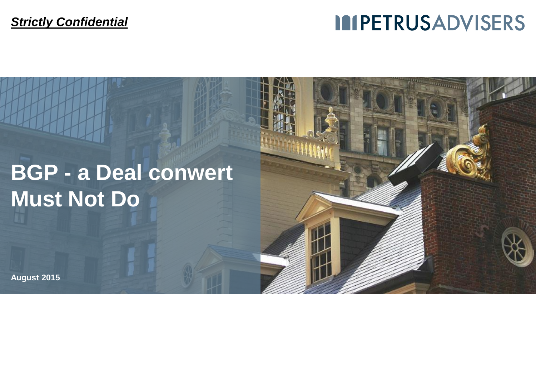#### *Strictly Confidential*

## **IMPETRUSADVISERS**

# **BGP - a Deal conwert Must Not Do**

**August 2015**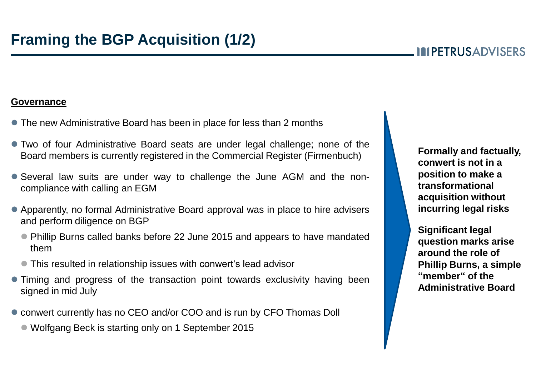#### **MPETRUSADVISERS**

#### **Governance**

- The new Administrative Board has been in place for less than 2 months
- Two of four Administrative Board seats are under legal challenge; none of the Board members is currently registered in the Commercial Register (Firmenbuch)
- Several law suits are under way to challenge the June AGM and the noncompliance with calling an EGM
- Apparently, no formal Administrative Board approval was in place to hire advisers and perform diligence on BGP
	- Phillip Burns called banks before 22 June 2015 and appears to have mandated them
	- This resulted in relationship issues with conwert's lead advisor
- Timing and progress of the transaction point towards exclusivity having been signed in mid July
- conwert currently has no CEO and/or COO and is run by CFO Thomas Doll
	- Wolfgang Beck is starting only on 1 September 2015

**Formally and factually, conwert is not in a position to make a transformational acquisition without incurring legal risks**

**Significant legal question marks arise around the role of Phillip Burns, a simple "member" of the Administrative Board**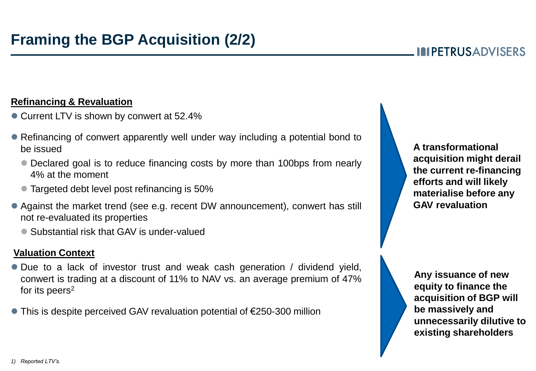### **Framing the BGP Acquisition (2/2)**

#### **Refinancing & Revaluation**

- Current LTV is shown by conwert at 52.4%
- Refinancing of conwert apparently well under way including a potential bond to be issued
	- Declared goal is to reduce financing costs by more than 100bps from nearly 4% at the moment
	- **Targeted debt level post refinancing is 50%**
- Against the market trend (see e.g. recent DW announcement), conwert has still not re-evaluated its properties
	- Substantial risk that GAV is under-valued

#### **Valuation Context**

- Due to a lack of investor trust and weak cash generation / dividend yield, conwert is trading at a discount of 11% to NAV vs. an average premium of 47% for its peers<sup>2</sup>
- This is despite perceived GAV revaluation potential of €250-300 million

**A transformational acquisition might derail the current re-financing efforts and will likely materialise before any GAV revaluation**

**Any issuance of new equity to finance the acquisition of BGP will be massively and unnecessarily dilutive to existing shareholders**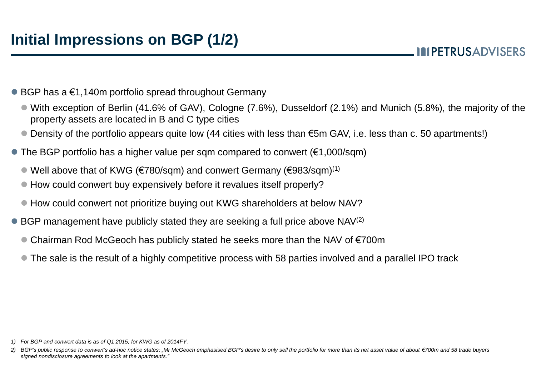**MPETRUSADVISERS** 

- $\bullet$  BGP has a  $\epsilon$ 1,140m portfolio spread throughout Germany
	- With exception of Berlin (41.6% of GAV), Cologne (7.6%), Dusseldorf (2.1%) and Munich (5.8%), the majority of the property assets are located in B and C type cities
	- Density of the portfolio appears quite low (44 cities with less than €5m GAV, i.e. less than c. 50 apartments!)
- $\bullet$  The BGP portfolio has a higher value per sqm compared to conwert ( $\epsilon$ 1,000/sqm)
	- Well above that of KWG (€780/sqm) and conwert Germany (€983/sqm) (1)
	- How could conwert buy expensively before it revalues itself properly?
	- How could conwert not prioritize buying out KWG shareholders at below NAV?
- BGP management have publicly stated they are seeking a full price above NAV<sup>(2)</sup>
	- Chairman Rod McGeoch has publicly stated he seeks more than the NAV of €700m
	- The sale is the result of a highly competitive process with 58 parties involved and a parallel IPO track

*<sup>1)</sup> For BGP and conwert data is as of Q1 2015, for KWG as of 2014FY.*

<sup>2)</sup> BGP's public response to conwert's ad-hoc notice states: "Mr McGeoch emphasised BGP's desire to only sell the portfolio for more than its net asset value of about €700m and 58 trade buvers *signed nondisclosure agreements to look at the apartments."*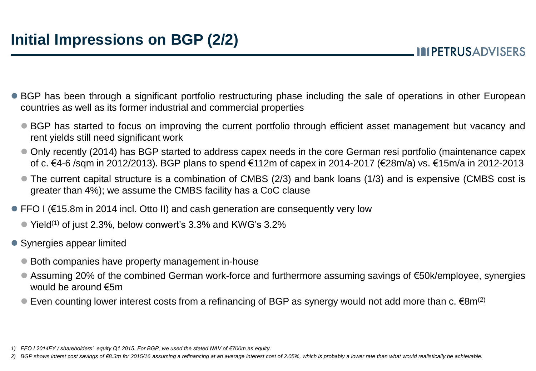- BGP has been through a significant portfolio restructuring phase including the sale of operations in other European countries as well as its former industrial and commercial properties
	- BGP has started to focus on improving the current portfolio through efficient asset management but vacancy and rent yields still need significant work
	- Only recently (2014) has BGP started to address capex needs in the core German resi portfolio (maintenance capex of c. €4-6 /sqm in 2012/2013). BGP plans to spend €112m of capex in 2014-2017 (€28m/a) vs. €15m/a in 2012-2013
	- The current capital structure is a combination of CMBS (2/3) and bank loans (1/3) and is expensive (CMBS cost is greater than 4%); we assume the CMBS facility has a CoC clause
- FFO I (€15.8m in 2014 incl. Otto II) and cash generation are consequently very low
	- $\bullet$  Yield<sup>(1)</sup> of just 2.3%, below conwert's 3.3% and KWG's 3.2%
- Synergies appear limited
	- Both companies have property management in-house
	- Assuming 20% of the combined German work-force and furthermore assuming savings of €50k/employee, synergies would be around €5m
	- Even counting lower interest costs from a refinancing of BGP as synergy would not add more than c.  $\epsilon$ 8m<sup>(2)</sup>

2) BGP shows interst cost savings of €8.3m for 2015/16 assuming a refinancing at an average interest cost of 2.05%, which is probably a lower rate than what would realistically be achievable.

*<sup>1)</sup> FFO I 2014FY / shareholders' equity Q1 2015. For BGP, we used the stated NAV of €700m as equity.*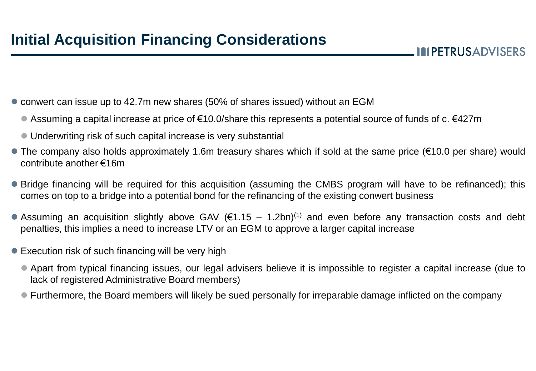**IMPETRUSADVISERS** 

- conwert can issue up to 42.7m new shares (50% of shares issued) without an EGM
	- Assuming a capital increase at price of €10.0/share this represents a potential source of funds of c. €427m
	- Underwriting risk of such capital increase is very substantial
- The company also holds approximately 1.6m treasury shares which if sold at the same price (€10.0 per share) would contribute another €16m
- Bridge financing will be required for this acquisition (assuming the CMBS program will have to be refinanced); this comes on top to a bridge into a potential bond for the refinancing of the existing conwert business
- Assuming an acquisition slightly above GAV ( $\epsilon$ 1.15 1.2bn)<sup>(1)</sup> and even before any transaction costs and debt penalties, this implies a need to increase LTV or an EGM to approve a larger capital increase
- Execution risk of such financing will be very high
	- Apart from typical financing issues, our legal advisers believe it is impossible to register a capital increase (due to lack of registered Administrative Board members)
	- Furthermore, the Board members will likely be sued personally for irreparable damage inflicted on the company